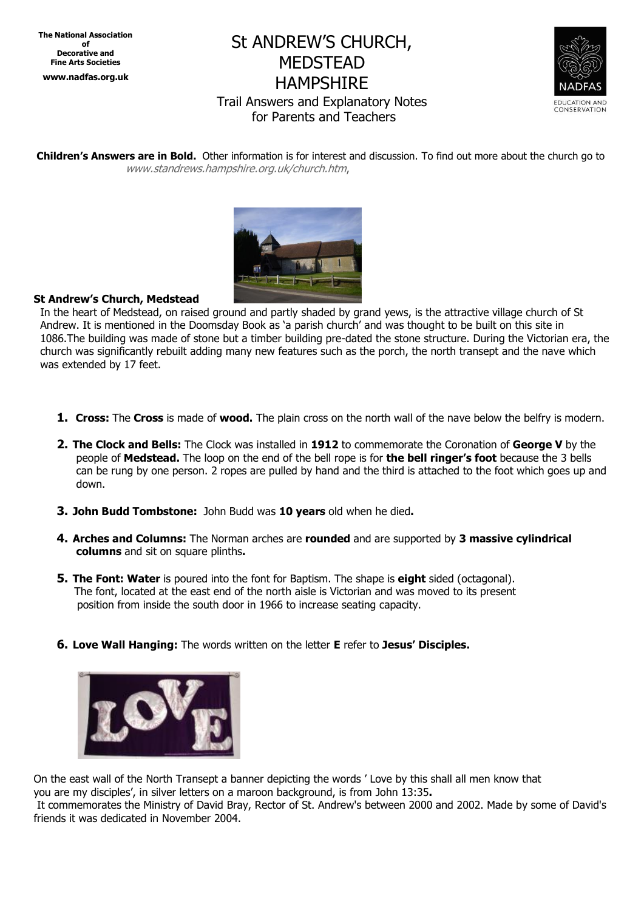**The National Association of Decorative and Fine Arts Societies www.nadfas.org.uk**

# St ANDREW'S CHURCH, MEDSTEAD HAMPSHIRE Trail Answers and Explanatory Notes for Parents and Teachers



**Children's Answers are in Bold.** Other information is for interest and discussion. To find out more about the church go to www.standrews.hampshire.org.uk/church.htm,



## **St Andrew's Church, Medstead**

In the heart of Medstead, on raised ground and partly shaded by grand yews, is the attractive village church of St Andrew. It is mentioned in the Doomsday Book as 'a parish church' and was thought to be built on this site in 1086.The building was made of stone but a timber building pre-dated the stone structure. During the Victorian era, the church was significantly rebuilt adding many new features such as the porch, the north transept and the nave which was extended by 17 feet.

- **1. Cross:** The **Cross** is made of **wood.** The plain cross on the north wall of the nave below the belfry is modern.
- **2. The Clock and Bells:** The Clock was installed in **1912** to commemorate the Coronation of **George V** by the people of **Medstead.** The loop on the end of the bell rope is for **the bell ringer's foot** because the 3 bells can be rung by one person. 2 ropes are pulled by hand and the third is attached to the foot which goes up and down.
- **3. John Budd Tombstone:** John Budd was **10 years** old when he died**.**
- **4. Arches and Columns:** The Norman arches are **rounded** and are supported by **3 massive cylindrical columns** and sit on square plinths**.**
- **5. The Font: Water** is poured into the font for Baptism. The shape is **eight** sided (octagonal). The font, located at the east end of the north aisle is Victorian and was moved to its present position from inside the south door in 1966 to increase seating capacity.
- **6. Love Wall Hanging:** The words written on the letter **E** refer to **Jesus' Disciples.**



On the east wall of the North Transept a banner depicting the words ' Love by this shall all men know that you are my disciples', in silver letters on a maroon background, is from John 13:35**.**

It commemorates the Ministry of David Bray, Rector of St. Andrew's between 2000 and 2002. Made by some of David's friends it was dedicated in November 2004.